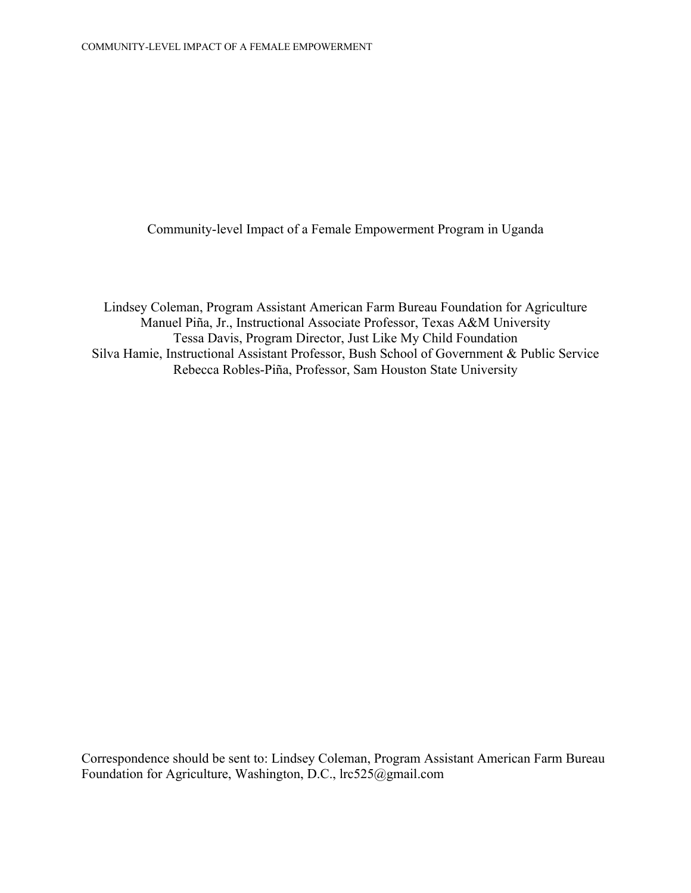Community-level Impact of a Female Empowerment Program in Uganda

Lindsey Coleman, Program Assistant American Farm Bureau Foundation for Agriculture Manuel Piña, Jr., Instructional Associate Professor, Texas A&M University Tessa Davis, Program Director, Just Like My Child Foundation Silva Hamie, Instructional Assistant Professor, Bush School of Government & Public Service Rebecca Robles-Piña, Professor, Sam Houston State University

Correspondence should be sent to: Lindsey Coleman, Program Assistant American Farm Bureau Foundation for Agriculture, Washington, D.C., lrc525@gmail.com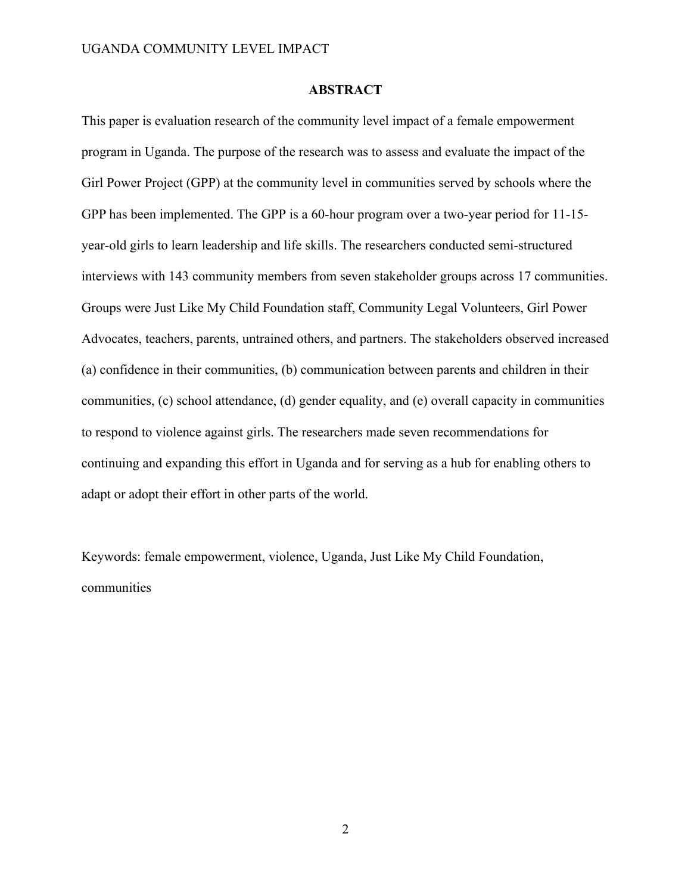#### **ABSTRACT**

This paper is evaluation research of the community level impact of a female empowerment program in Uganda. The purpose of the research was to assess and evaluate the impact of the Girl Power Project (GPP) at the community level in communities served by schools where the GPP has been implemented. The GPP is a 60-hour program over a two-year period for 11-15 year-old girls to learn leadership and life skills. The researchers conducted semi-structured interviews with 143 community members from seven stakeholder groups across 17 communities. Groups were Just Like My Child Foundation staff, Community Legal Volunteers, Girl Power Advocates, teachers, parents, untrained others, and partners. The stakeholders observed increased (a) confidence in their communities, (b) communication between parents and children in their communities, (c) school attendance, (d) gender equality, and (e) overall capacity in communities to respond to violence against girls. The researchers made seven recommendations for continuing and expanding this effort in Uganda and for serving as a hub for enabling others to adapt or adopt their effort in other parts of the world.

Keywords: female empowerment, violence, Uganda, Just Like My Child Foundation, communities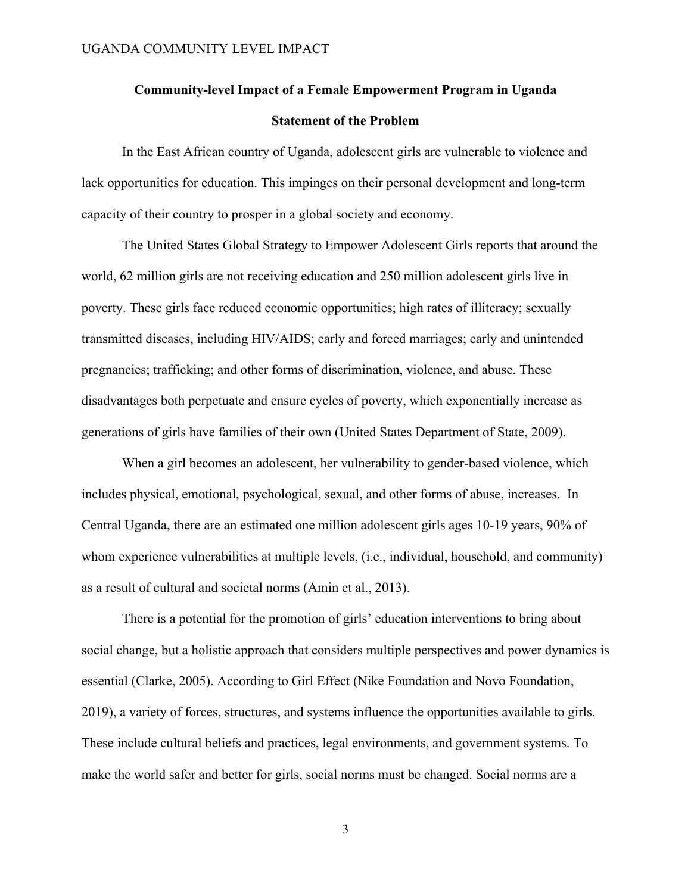# **Community-level Impact of a Female Empowerment Program in Uganda Statement of the Problem**

In the East African country of Uganda, adolescent girls are vulnerable to violence and lack opportunities for education. This impinges on their personal development and long-term capacity of their country to prosper in a global society and economy.

The United States Global Strategy to Empower Adolescent Girls reports that around the world, 62 million girls are not receiving education and 250 million adolescent girls live in poverty. These girls face reduced economic opportunities; high rates of illiteracy; sexually transmitted diseases, including HIV/AIDS; early and forced marriages; early and unintended pregnancies; trafficking; and other forms of discrimination, violence, and abuse. These disadvantages both perpetuate and ensure cycles of poverty, which exponentially increase as generations of girls have families of their own (United States Department of State, 2009).

When a girl becomes an adolescent, her vulnerability to gender-based violence, which includes physical, emotional, psychological, sexual, and other forms of abuse, increases. In Central Uganda, there are an estimated one million adolescent girls ages 10-19 years, 90% of whom experience vulnerabilities at multiple levels, (i.e., individual, household, and community) as a result of cultural and societal norms (Amin et al., 2013).

There is a potential for the promotion of girls' education interventions to bring about social change, but a holistic approach that considers multiple perspectives and power dynamics is essential (Clarke, 2005). According to Girl Effect (Nike Foundation and Novo Foundation, 2019), a variety of forces, structures, and systems influence the opportunities available to girls. These include cultural beliefs and practices, legal environments, and government systems. To make the world safer and better for girls, social norms must be changed. Social norms are a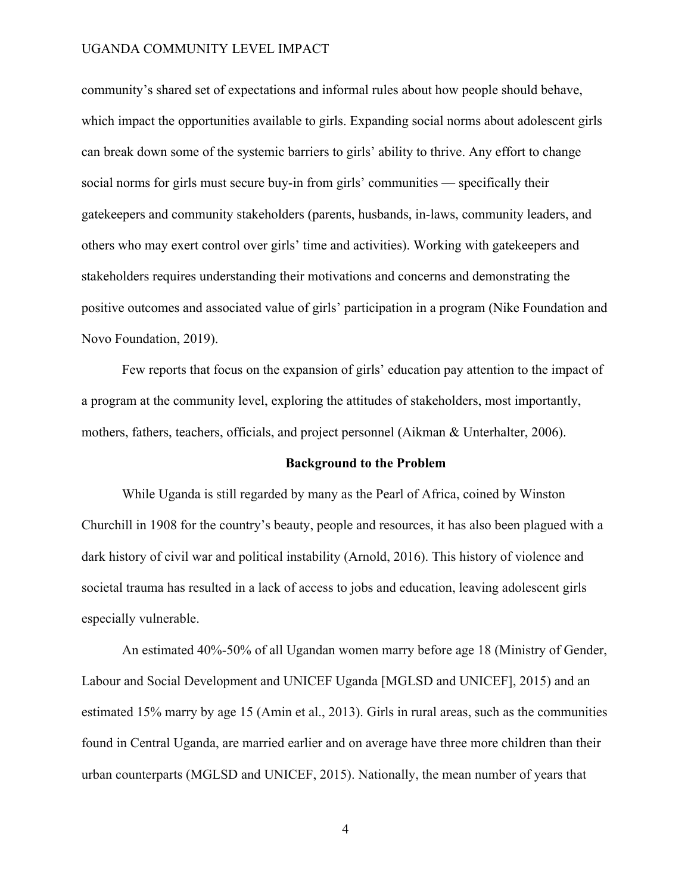community's shared set of expectations and informal rules about how people should behave, which impact the opportunities available to girls. Expanding social norms about adolescent girls can break down some of the systemic barriers to girls' ability to thrive. Any effort to change social norms for girls must secure buy-in from girls' communities — specifically their gatekeepers and community stakeholders (parents, husbands, in-laws, community leaders, and others who may exert control over girls' time and activities). Working with gatekeepers and stakeholders requires understanding their motivations and concerns and demonstrating the positive outcomes and associated value of girls' participation in a program (Nike Foundation and Novo Foundation, 2019).

Few reports that focus on the expansion of girls' education pay attention to the impact of a program at the community level, exploring the attitudes of stakeholders, most importantly, mothers, fathers, teachers, officials, and project personnel (Aikman & Unterhalter, 2006).

#### **Background to the Problem**

While Uganda is still regarded by many as the Pearl of Africa, coined by Winston Churchill in 1908 for the country's beauty, people and resources, it has also been plagued with a dark history of civil war and political instability (Arnold, 2016). This history of violence and societal trauma has resulted in a lack of access to jobs and education, leaving adolescent girls especially vulnerable.

An estimated 40%-50% of all Ugandan women marry before age 18 (Ministry of Gender, Labour and Social Development and UNICEF Uganda [MGLSD and UNICEF], 2015) and an estimated 15% marry by age 15 (Amin et al., 2013). Girls in rural areas, such as the communities found in Central Uganda, are married earlier and on average have three more children than their urban counterparts (MGLSD and UNICEF, 2015). Nationally, the mean number of years that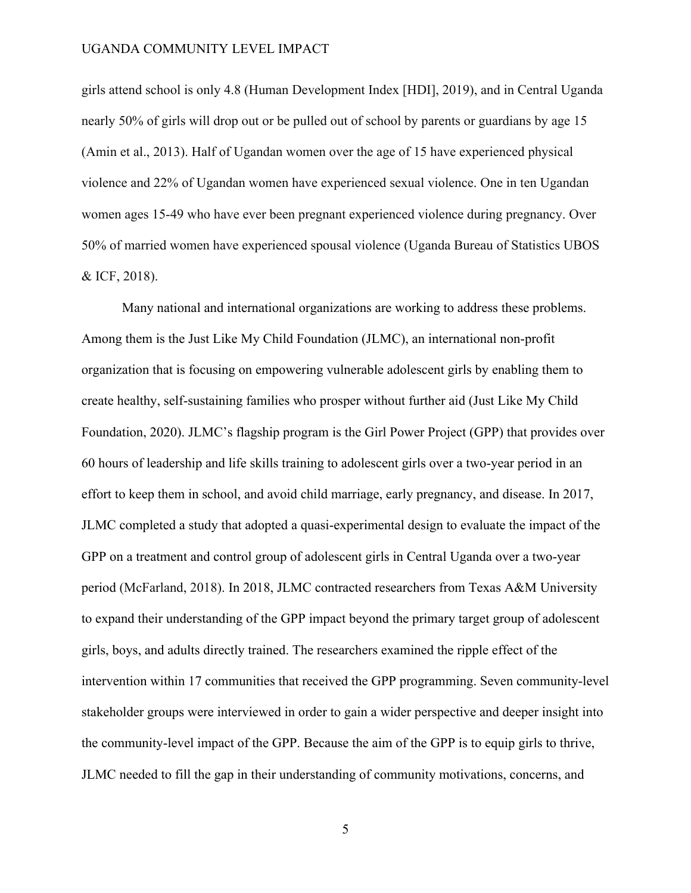girls attend school is only 4.8 (Human Development Index [HDI], 2019), and in Central Uganda nearly 50% of girls will drop out or be pulled out of school by parents or guardians by age 15 (Amin et al., 2013). Half of Ugandan women over the age of 15 have experienced physical violence and 22% of Ugandan women have experienced sexual violence. One in ten Ugandan women ages 15-49 who have ever been pregnant experienced violence during pregnancy. Over 50% of married women have experienced spousal violence (Uganda Bureau of Statistics UBOS & ICF, 2018).

Many national and international organizations are working to address these problems. Among them is the Just Like My Child Foundation (JLMC), an international non-profit organization that is focusing on empowering vulnerable adolescent girls by enabling them to create healthy, self-sustaining families who prosper without further aid (Just Like My Child Foundation, 2020). JLMC's flagship program is the Girl Power Project (GPP) that provides over 60 hours of leadership and life skills training to adolescent girls over a two-year period in an effort to keep them in school, and avoid child marriage, early pregnancy, and disease. In 2017, JLMC completed a study that adopted a quasi-experimental design to evaluate the impact of the GPP on a treatment and control group of adolescent girls in Central Uganda over a two-year period (McFarland, 2018). In 2018, JLMC contracted researchers from Texas A&M University to expand their understanding of the GPP impact beyond the primary target group of adolescent girls, boys, and adults directly trained. The researchers examined the ripple effect of the intervention within 17 communities that received the GPP programming. Seven community-level stakeholder groups were interviewed in order to gain a wider perspective and deeper insight into the community-level impact of the GPP. Because the aim of the GPP is to equip girls to thrive, JLMC needed to fill the gap in their understanding of community motivations, concerns, and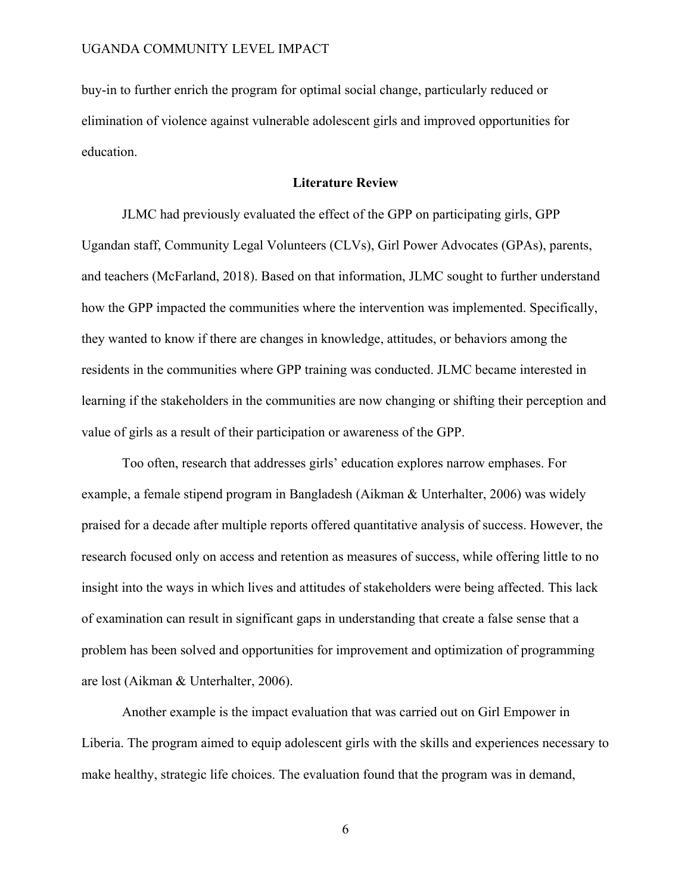buy-in to further enrich the program for optimal social change, particularly reduced or elimination of violence against vulnerable adolescent girls and improved opportunities for education.

# **Literature Review**

JLMC had previously evaluated the effect of the GPP on participating girls, GPP Ugandan staff, Community Legal Volunteers (CLVs), Girl Power Advocates (GPAs), parents, and teachers (McFarland, 2018). Based on that information, JLMC sought to further understand how the GPP impacted the communities where the intervention was implemented. Specifically, they wanted to know if there are changes in knowledge, attitudes, or behaviors among the residents in the communities where GPP training was conducted. JLMC became interested in learning if the stakeholders in the communities are now changing or shifting their perception and value of girls as a result of their participation or awareness of the GPP.

Too often, research that addresses girls' education explores narrow emphases. For example, a female stipend program in Bangladesh (Aikman & Unterhalter, 2006) was widely praised for a decade after multiple reports offered quantitative analysis of success. However, the research focused only on access and retention as measures of success, while offering little to no insight into the ways in which lives and attitudes of stakeholders were being affected. This lack of examination can result in significant gaps in understanding that create a false sense that a problem has been solved and opportunities for improvement and optimization of programming are lost (Aikman & Unterhalter, 2006).

Another example is the impact evaluation that was carried out on Girl Empower in Liberia. The program aimed to equip adolescent girls with the skills and experiences necessary to make healthy, strategic life choices. The evaluation found that the program was in demand,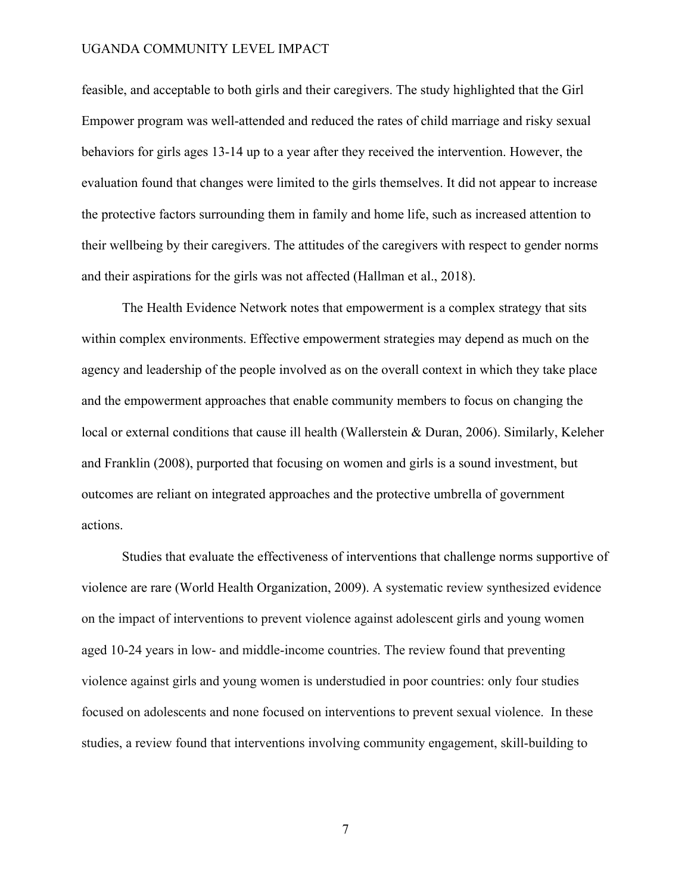feasible, and acceptable to both girls and their caregivers. The study highlighted that the Girl Empower program was well-attended and reduced the rates of child marriage and risky sexual behaviors for girls ages 13-14 up to a year after they received the intervention. However, the evaluation found that changes were limited to the girls themselves. It did not appear to increase the protective factors surrounding them in family and home life, such as increased attention to their wellbeing by their caregivers. The attitudes of the caregivers with respect to gender norms and their aspirations for the girls was not affected (Hallman et al., 2018).

The Health Evidence Network notes that empowerment is a complex strategy that sits within complex environments. Effective empowerment strategies may depend as much on the agency and leadership of the people involved as on the overall context in which they take place and the empowerment approaches that enable community members to focus on changing the local or external conditions that cause ill health (Wallerstein & Duran, 2006). Similarly, Keleher and Franklin (2008), purported that focusing on women and girls is a sound investment, but outcomes are reliant on integrated approaches and the protective umbrella of government actions.

Studies that evaluate the effectiveness of interventions that challenge norms supportive of violence are rare (World Health Organization, 2009). A systematic review synthesized evidence on the impact of interventions to prevent violence against adolescent girls and young women aged 10-24 years in low- and middle-income countries. The review found that preventing violence against girls and young women is understudied in poor countries: only four studies focused on adolescents and none focused on interventions to prevent sexual violence. In these studies, a review found that interventions involving community engagement, skill-building to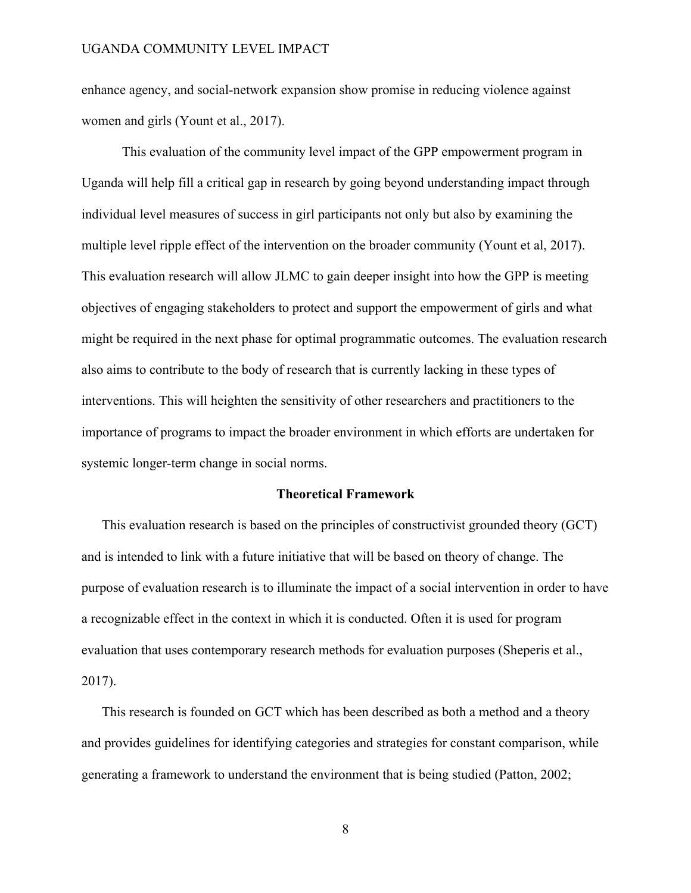enhance agency, and social-network expansion show promise in reducing violence against women and girls (Yount et al., 2017).

This evaluation of the community level impact of the GPP empowerment program in Uganda will help fill a critical gap in research by going beyond understanding impact through individual level measures of success in girl participants not only but also by examining the multiple level ripple effect of the intervention on the broader community (Yount et al, 2017). This evaluation research will allow JLMC to gain deeper insight into how the GPP is meeting objectives of engaging stakeholders to protect and support the empowerment of girls and what might be required in the next phase for optimal programmatic outcomes. The evaluation research also aims to contribute to the body of research that is currently lacking in these types of interventions. This will heighten the sensitivity of other researchers and practitioners to the importance of programs to impact the broader environment in which efforts are undertaken for systemic longer-term change in social norms.

#### **Theoretical Framework**

This evaluation research is based on the principles of constructivist grounded theory (GCT) and is intended to link with a future initiative that will be based on theory of change. The purpose of evaluation research is to illuminate the impact of a social intervention in order to have a recognizable effect in the context in which it is conducted. Often it is used for program evaluation that uses contemporary research methods for evaluation purposes (Sheperis et al., 2017).

This research is founded on GCT which has been described as both a method and a theory and provides guidelines for identifying categories and strategies for constant comparison, while generating a framework to understand the environment that is being studied (Patton, 2002;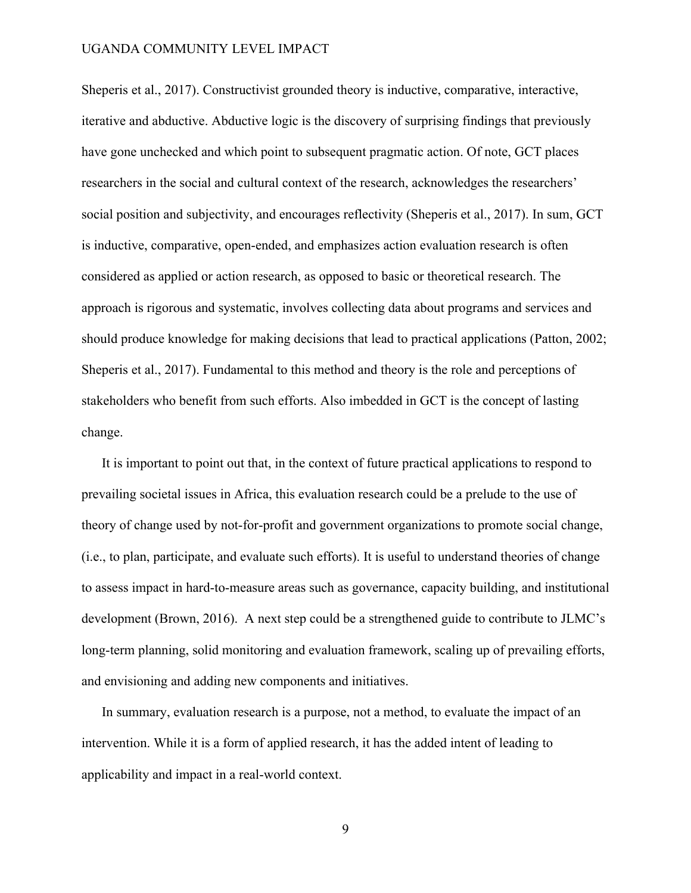Sheperis et al., 2017). Constructivist grounded theory is inductive, comparative, interactive, iterative and abductive. Abductive logic is the discovery of surprising findings that previously have gone unchecked and which point to subsequent pragmatic action. Of note, GCT places researchers in the social and cultural context of the research, acknowledges the researchers' social position and subjectivity, and encourages reflectivity (Sheperis et al., 2017). In sum, GCT is inductive, comparative, open-ended, and emphasizes action evaluation research is often considered as applied or action research, as opposed to basic or theoretical research. The approach is rigorous and systematic, involves collecting data about programs and services and should produce knowledge for making decisions that lead to practical applications (Patton, 2002; Sheperis et al., 2017). Fundamental to this method and theory is the role and perceptions of stakeholders who benefit from such efforts. Also imbedded in GCT is the concept of lasting change.

It is important to point out that, in the context of future practical applications to respond to prevailing societal issues in Africa, this evaluation research could be a prelude to the use of theory of change used by not-for-profit and government organizations to promote social change, (i.e., to plan, participate, and evaluate such efforts). It is useful to understand theories of change to assess impact in hard-to-measure areas such as governance, capacity building, and institutional development (Brown, 2016). A next step could be a strengthened guide to contribute to JLMC's long-term planning, solid monitoring and evaluation framework, scaling up of prevailing efforts, and envisioning and adding new components and initiatives.

In summary, evaluation research is a purpose, not a method, to evaluate the impact of an intervention. While it is a form of applied research, it has the added intent of leading to applicability and impact in a real-world context.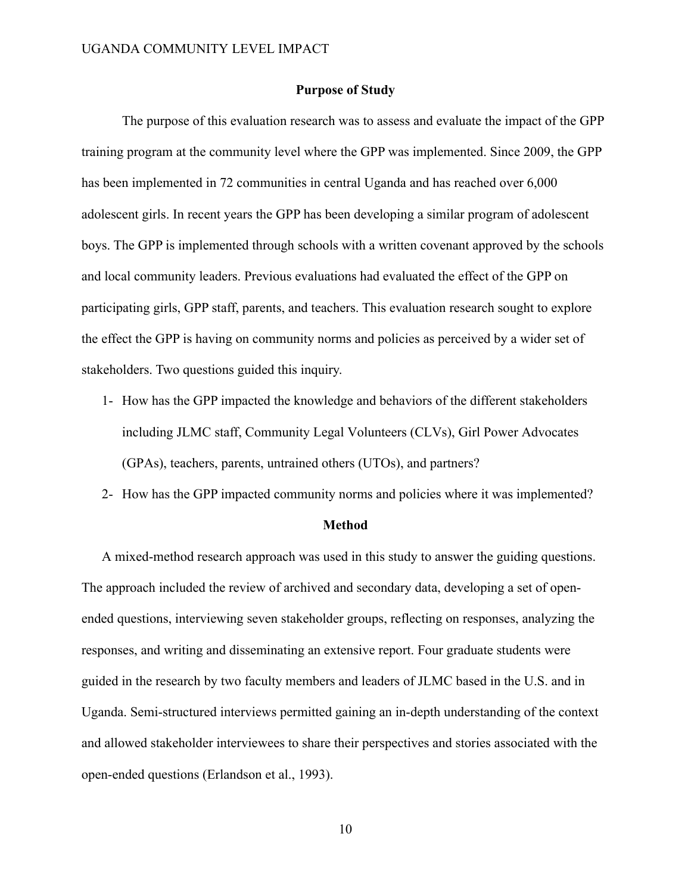#### **Purpose of Study**

The purpose of this evaluation research was to assess and evaluate the impact of the GPP training program at the community level where the GPP was implemented. Since 2009, the GPP has been implemented in 72 communities in central Uganda and has reached over 6,000 adolescent girls. In recent years the GPP has been developing a similar program of adolescent boys. The GPP is implemented through schools with a written covenant approved by the schools and local community leaders. Previous evaluations had evaluated the effect of the GPP on participating girls, GPP staff, parents, and teachers. This evaluation research sought to explore the effect the GPP is having on community norms and policies as perceived by a wider set of stakeholders. Two questions guided this inquiry.

- 1- How has the GPP impacted the knowledge and behaviors of the different stakeholders including JLMC staff, Community Legal Volunteers (CLVs), Girl Power Advocates (GPAs), teachers, parents, untrained others (UTOs), and partners?
- 2- How has the GPP impacted community norms and policies where it was implemented?

#### **Method**

A mixed-method research approach was used in this study to answer the guiding questions. The approach included the review of archived and secondary data, developing a set of openended questions, interviewing seven stakeholder groups, reflecting on responses, analyzing the responses, and writing and disseminating an extensive report. Four graduate students were guided in the research by two faculty members and leaders of JLMC based in the U.S. and in Uganda. Semi-structured interviews permitted gaining an in-depth understanding of the context and allowed stakeholder interviewees to share their perspectives and stories associated with the open-ended questions (Erlandson et al., 1993).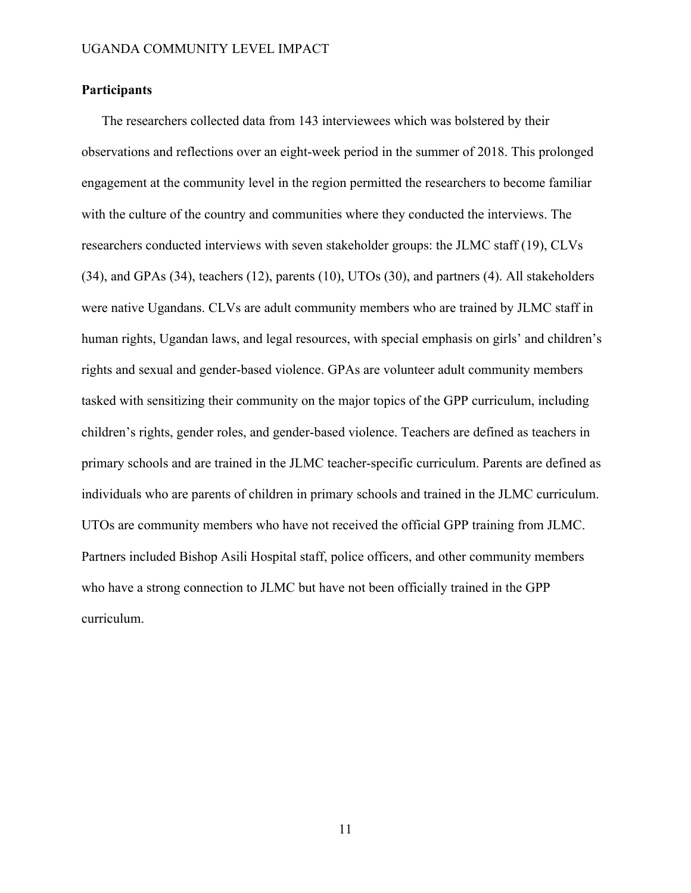# **Participants**

The researchers collected data from 143 interviewees which was bolstered by their observations and reflections over an eight-week period in the summer of 2018. This prolonged engagement at the community level in the region permitted the researchers to become familiar with the culture of the country and communities where they conducted the interviews. The researchers conducted interviews with seven stakeholder groups: the JLMC staff (19), CLVs (34), and GPAs (34), teachers (12), parents (10), UTOs (30), and partners (4). All stakeholders were native Ugandans. CLVs are adult community members who are trained by JLMC staff in human rights, Ugandan laws, and legal resources, with special emphasis on girls' and children's rights and sexual and gender-based violence. GPAs are volunteer adult community members tasked with sensitizing their community on the major topics of the GPP curriculum, including children's rights, gender roles, and gender-based violence. Teachers are defined as teachers in primary schools and are trained in the JLMC teacher-specific curriculum. Parents are defined as individuals who are parents of children in primary schools and trained in the JLMC curriculum. UTOs are community members who have not received the official GPP training from JLMC. Partners included Bishop Asili Hospital staff, police officers, and other community members who have a strong connection to JLMC but have not been officially trained in the GPP curriculum.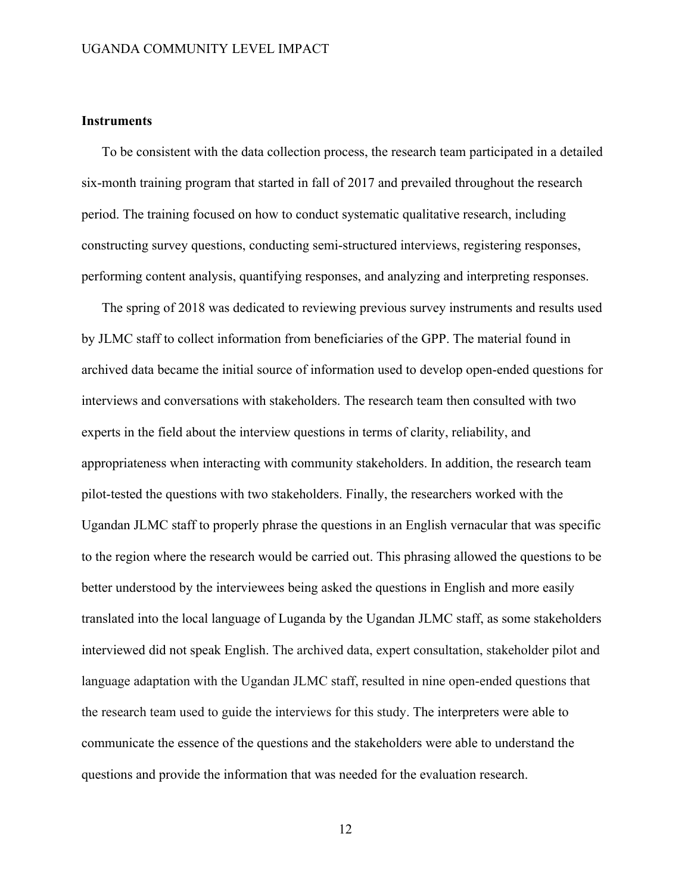# **Instruments**

To be consistent with the data collection process, the research team participated in a detailed six-month training program that started in fall of 2017 and prevailed throughout the research period. The training focused on how to conduct systematic qualitative research, including constructing survey questions, conducting semi-structured interviews, registering responses, performing content analysis, quantifying responses, and analyzing and interpreting responses.

The spring of 2018 was dedicated to reviewing previous survey instruments and results used by JLMC staff to collect information from beneficiaries of the GPP. The material found in archived data became the initial source of information used to develop open-ended questions for interviews and conversations with stakeholders. The research team then consulted with two experts in the field about the interview questions in terms of clarity, reliability, and appropriateness when interacting with community stakeholders. In addition, the research team pilot-tested the questions with two stakeholders. Finally, the researchers worked with the Ugandan JLMC staff to properly phrase the questions in an English vernacular that was specific to the region where the research would be carried out. This phrasing allowed the questions to be better understood by the interviewees being asked the questions in English and more easily translated into the local language of Luganda by the Ugandan JLMC staff, as some stakeholders interviewed did not speak English. The archived data, expert consultation, stakeholder pilot and language adaptation with the Ugandan JLMC staff, resulted in nine open-ended questions that the research team used to guide the interviews for this study. The interpreters were able to communicate the essence of the questions and the stakeholders were able to understand the questions and provide the information that was needed for the evaluation research.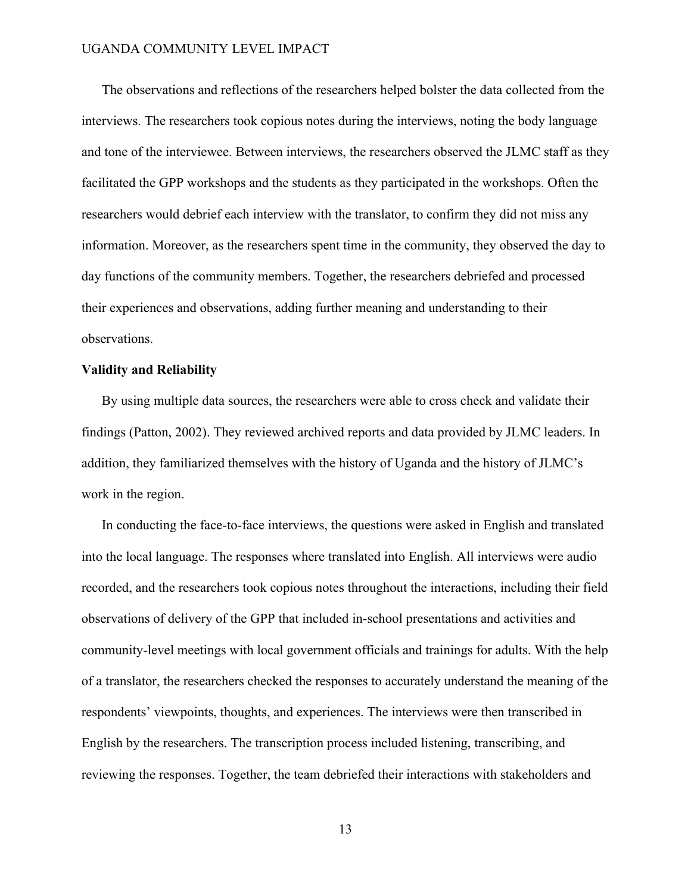The observations and reflections of the researchers helped bolster the data collected from the interviews. The researchers took copious notes during the interviews, noting the body language and tone of the interviewee. Between interviews, the researchers observed the JLMC staff as they facilitated the GPP workshops and the students as they participated in the workshops. Often the researchers would debrief each interview with the translator, to confirm they did not miss any information. Moreover, as the researchers spent time in the community, they observed the day to day functions of the community members. Together, the researchers debriefed and processed their experiences and observations, adding further meaning and understanding to their observations.

#### **Validity and Reliability**

By using multiple data sources, the researchers were able to cross check and validate their findings (Patton, 2002). They reviewed archived reports and data provided by JLMC leaders. In addition, they familiarized themselves with the history of Uganda and the history of JLMC's work in the region.

In conducting the face-to-face interviews, the questions were asked in English and translated into the local language. The responses where translated into English. All interviews were audio recorded, and the researchers took copious notes throughout the interactions, including their field observations of delivery of the GPP that included in-school presentations and activities and community-level meetings with local government officials and trainings for adults. With the help of a translator, the researchers checked the responses to accurately understand the meaning of the respondents' viewpoints, thoughts, and experiences. The interviews were then transcribed in English by the researchers. The transcription process included listening, transcribing, and reviewing the responses. Together, the team debriefed their interactions with stakeholders and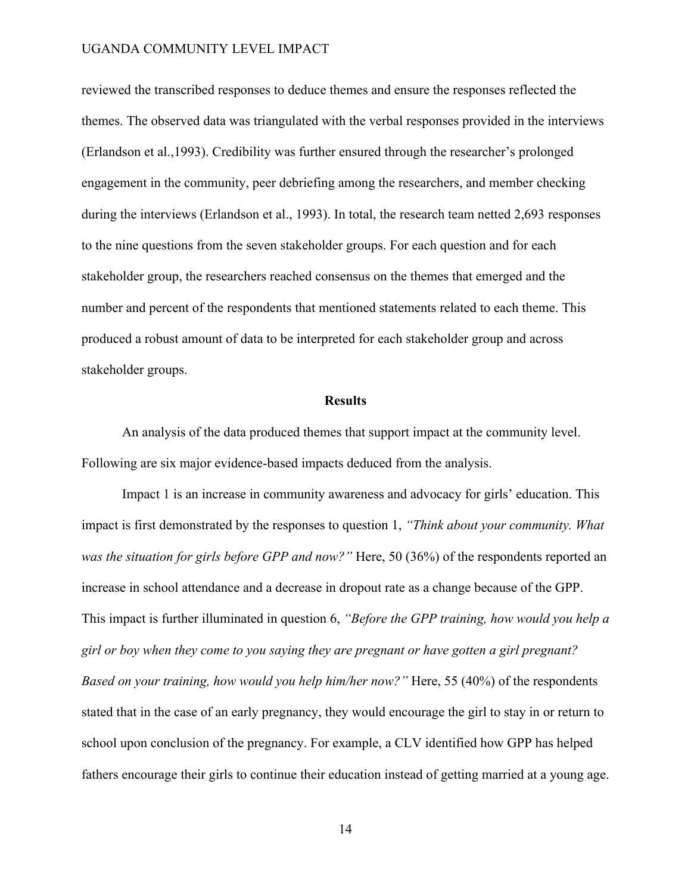reviewed the transcribed responses to deduce themes and ensure the responses reflected the themes. The observed data was triangulated with the verbal responses provided in the interviews (Erlandson et al.,1993). Credibility was further ensured through the researcher's prolonged engagement in the community, peer debriefing among the researchers, and member checking during the interviews (Erlandson et al., 1993). In total, the research team netted 2,693 responses to the nine questions from the seven stakeholder groups. For each question and for each stakeholder group, the researchers reached consensus on the themes that emerged and the number and percent of the respondents that mentioned statements related to each theme. This produced a robust amount of data to be interpreted for each stakeholder group and across stakeholder groups.

#### **Results**

An analysis of the data produced themes that support impact at the community level. Following are six major evidence-based impacts deduced from the analysis.

Impact 1 is an increase in community awareness and advocacy for girls' education. This impact is first demonstrated by the responses to question 1, *"Think about your community. What was the situation for girls before GPP and now?"* Here, 50 (36%) of the respondents reported an increase in school attendance and a decrease in dropout rate as a change because of the GPP. This impact is further illuminated in question 6, *"Before the GPP training, how would you help a girl or boy when they come to you saying they are pregnant or have gotten a girl pregnant? Based on your training, how would you help him/her now?"* Here, 55 (40%) of the respondents stated that in the case of an early pregnancy, they would encourage the girl to stay in or return to school upon conclusion of the pregnancy. For example, a CLV identified how GPP has helped fathers encourage their girls to continue their education instead of getting married at a young age.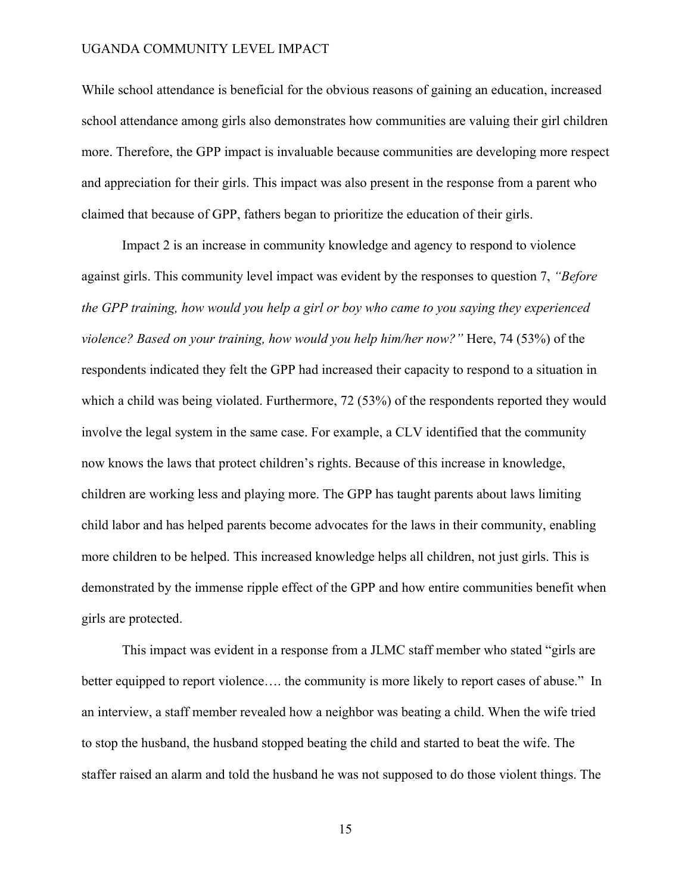While school attendance is beneficial for the obvious reasons of gaining an education, increased school attendance among girls also demonstrates how communities are valuing their girl children more. Therefore, the GPP impact is invaluable because communities are developing more respect and appreciation for their girls. This impact was also present in the response from a parent who claimed that because of GPP, fathers began to prioritize the education of their girls.

Impact 2 is an increase in community knowledge and agency to respond to violence against girls. This community level impact was evident by the responses to question 7, *"Before the GPP training, how would you help a girl or boy who came to you saying they experienced violence? Based on your training, how would you help him/her now?"* Here, 74 (53%) of the respondents indicated they felt the GPP had increased their capacity to respond to a situation in which a child was being violated. Furthermore, 72 (53%) of the respondents reported they would involve the legal system in the same case. For example, a CLV identified that the community now knows the laws that protect children's rights. Because of this increase in knowledge, children are working less and playing more. The GPP has taught parents about laws limiting child labor and has helped parents become advocates for the laws in their community, enabling more children to be helped. This increased knowledge helps all children, not just girls. This is demonstrated by the immense ripple effect of the GPP and how entire communities benefit when girls are protected.

This impact was evident in a response from a JLMC staff member who stated "girls are better equipped to report violence…. the community is more likely to report cases of abuse." In an interview, a staff member revealed how a neighbor was beating a child. When the wife tried to stop the husband, the husband stopped beating the child and started to beat the wife. The staffer raised an alarm and told the husband he was not supposed to do those violent things. The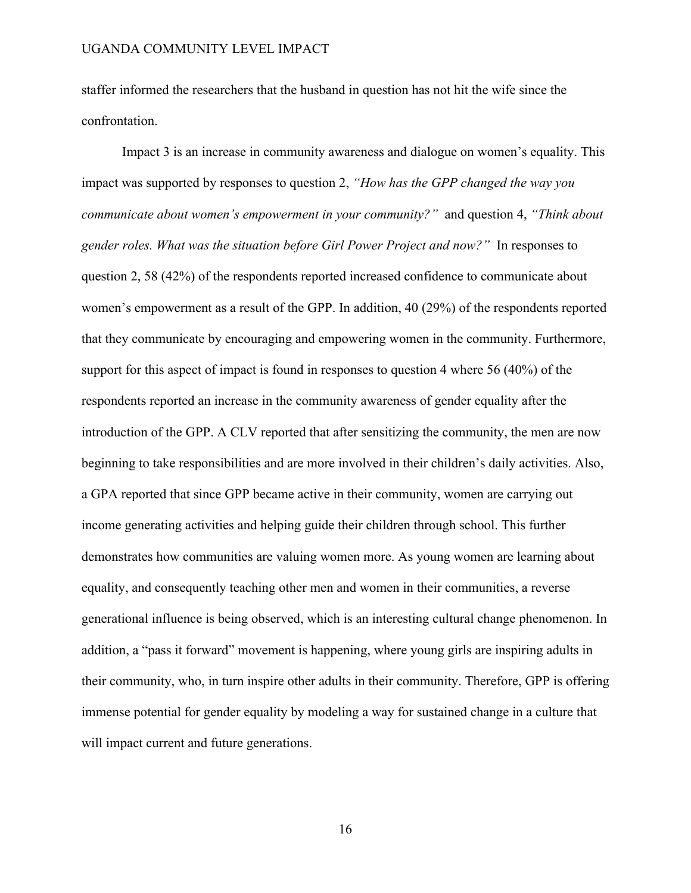staffer informed the researchers that the husband in question has not hit the wife since the confrontation.

Impact 3 is an increase in community awareness and dialogue on women's equality. This impact was supported by responses to question 2, *"How has the GPP changed the way you communicate about women's empowerment in your community?"* and question 4, *"Think about gender roles. What was the situation before Girl Power Project and now?"* In responses to question 2, 58 (42%) of the respondents reported increased confidence to communicate about women's empowerment as a result of the GPP. In addition, 40 (29%) of the respondents reported that they communicate by encouraging and empowering women in the community. Furthermore, support for this aspect of impact is found in responses to question 4 where 56 (40%) of the respondents reported an increase in the community awareness of gender equality after the introduction of the GPP. A CLV reported that after sensitizing the community, the men are now beginning to take responsibilities and are more involved in their children's daily activities. Also, a GPA reported that since GPP became active in their community, women are carrying out income generating activities and helping guide their children through school. This further demonstrates how communities are valuing women more. As young women are learning about equality, and consequently teaching other men and women in their communities, a reverse generational influence is being observed, which is an interesting cultural change phenomenon. In addition, a "pass it forward" movement is happening, where young girls are inspiring adults in their community, who, in turn inspire other adults in their community. Therefore, GPP is offering immense potential for gender equality by modeling a way for sustained change in a culture that will impact current and future generations.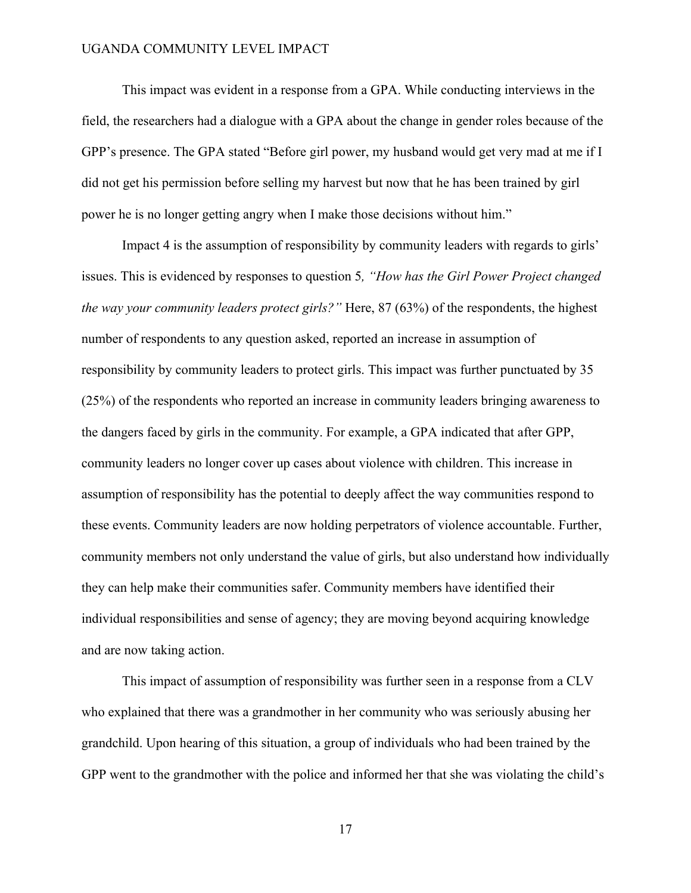This impact was evident in a response from a GPA. While conducting interviews in the field, the researchers had a dialogue with a GPA about the change in gender roles because of the GPP's presence. The GPA stated "Before girl power, my husband would get very mad at me if I did not get his permission before selling my harvest but now that he has been trained by girl power he is no longer getting angry when I make those decisions without him."

Impact 4 is the assumption of responsibility by community leaders with regards to girls' issues. This is evidenced by responses to question 5*, "How has the Girl Power Project changed the way your community leaders protect girls?"* Here, 87 (63%) of the respondents, the highest number of respondents to any question asked, reported an increase in assumption of responsibility by community leaders to protect girls. This impact was further punctuated by 35 (25%) of the respondents who reported an increase in community leaders bringing awareness to the dangers faced by girls in the community. For example, a GPA indicated that after GPP, community leaders no longer cover up cases about violence with children. This increase in assumption of responsibility has the potential to deeply affect the way communities respond to these events. Community leaders are now holding perpetrators of violence accountable. Further, community members not only understand the value of girls, but also understand how individually they can help make their communities safer. Community members have identified their individual responsibilities and sense of agency; they are moving beyond acquiring knowledge and are now taking action.

This impact of assumption of responsibility was further seen in a response from a CLV who explained that there was a grandmother in her community who was seriously abusing her grandchild. Upon hearing of this situation, a group of individuals who had been trained by the GPP went to the grandmother with the police and informed her that she was violating the child's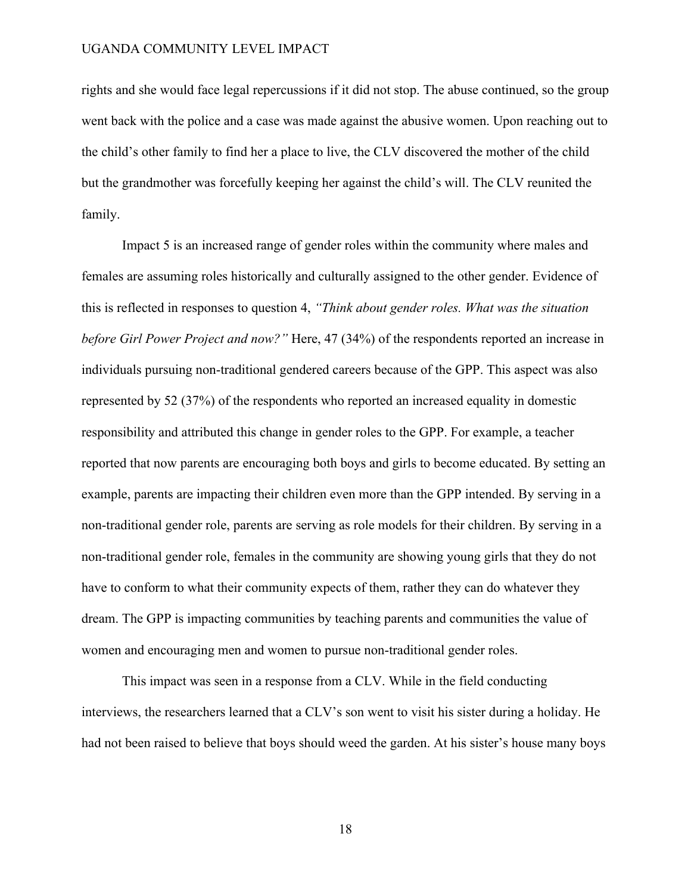rights and she would face legal repercussions if it did not stop. The abuse continued, so the group went back with the police and a case was made against the abusive women. Upon reaching out to the child's other family to find her a place to live, the CLV discovered the mother of the child but the grandmother was forcefully keeping her against the child's will. The CLV reunited the family.

Impact 5 is an increased range of gender roles within the community where males and females are assuming roles historically and culturally assigned to the other gender. Evidence of this is reflected in responses to question 4, *"Think about gender roles. What was the situation before Girl Power Project and now?"* Here, 47 (34%) of the respondents reported an increase in individuals pursuing non-traditional gendered careers because of the GPP. This aspect was also represented by 52 (37%) of the respondents who reported an increased equality in domestic responsibility and attributed this change in gender roles to the GPP. For example, a teacher reported that now parents are encouraging both boys and girls to become educated. By setting an example, parents are impacting their children even more than the GPP intended. By serving in a non-traditional gender role, parents are serving as role models for their children. By serving in a non-traditional gender role, females in the community are showing young girls that they do not have to conform to what their community expects of them, rather they can do whatever they dream. The GPP is impacting communities by teaching parents and communities the value of women and encouraging men and women to pursue non-traditional gender roles.

This impact was seen in a response from a CLV. While in the field conducting interviews, the researchers learned that a CLV's son went to visit his sister during a holiday. He had not been raised to believe that boys should weed the garden. At his sister's house many boys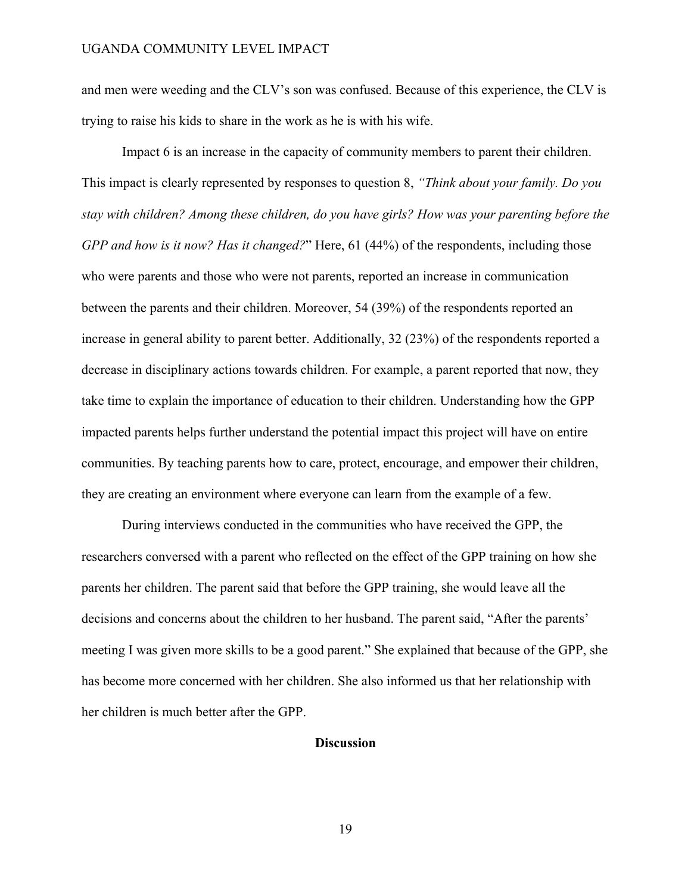and men were weeding and the CLV's son was confused. Because of this experience, the CLV is trying to raise his kids to share in the work as he is with his wife.

Impact 6 is an increase in the capacity of community members to parent their children. This impact is clearly represented by responses to question 8, *"Think about your family. Do you stay with children? Among these children, do you have girls? How was your parenting before the GPP and how is it now? Has it changed?*" Here, 61 (44%) of the respondents, including those who were parents and those who were not parents, reported an increase in communication between the parents and their children. Moreover, 54 (39%) of the respondents reported an increase in general ability to parent better. Additionally, 32 (23%) of the respondents reported a decrease in disciplinary actions towards children. For example, a parent reported that now, they take time to explain the importance of education to their children. Understanding how the GPP impacted parents helps further understand the potential impact this project will have on entire communities. By teaching parents how to care, protect, encourage, and empower their children, they are creating an environment where everyone can learn from the example of a few.

During interviews conducted in the communities who have received the GPP, the researchers conversed with a parent who reflected on the effect of the GPP training on how she parents her children. The parent said that before the GPP training, she would leave all the decisions and concerns about the children to her husband. The parent said, "After the parents' meeting I was given more skills to be a good parent." She explained that because of the GPP, she has become more concerned with her children. She also informed us that her relationship with her children is much better after the GPP.

# **Discussion**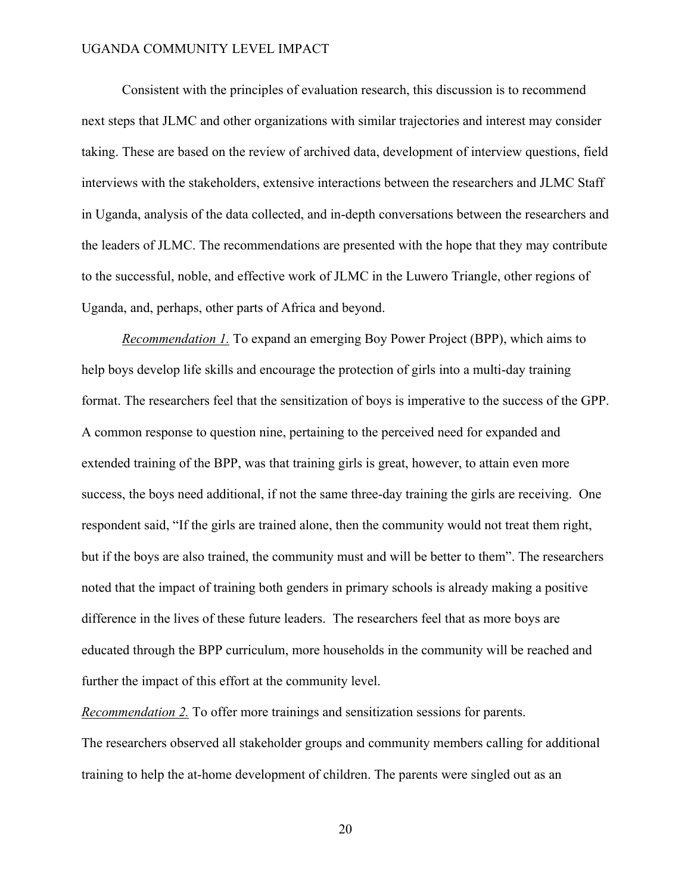Consistent with the principles of evaluation research, this discussion is to recommend next steps that JLMC and other organizations with similar trajectories and interest may consider taking. These are based on the review of archived data, development of interview questions, field interviews with the stakeholders, extensive interactions between the researchers and JLMC Staff in Uganda, analysis of the data collected, and in-depth conversations between the researchers and the leaders of JLMC. The recommendations are presented with the hope that they may contribute to the successful, noble, and effective work of JLMC in the Luwero Triangle, other regions of Uganda, and, perhaps, other parts of Africa and beyond.

*Recommendation 1.* To expand an emerging Boy Power Project (BPP), which aims to help boys develop life skills and encourage the protection of girls into a multi-day training format. The researchers feel that the sensitization of boys is imperative to the success of the GPP. A common response to question nine, pertaining to the perceived need for expanded and extended training of the BPP, was that training girls is great, however, to attain even more success, the boys need additional, if not the same three-day training the girls are receiving. One respondent said, "If the girls are trained alone, then the community would not treat them right, but if the boys are also trained, the community must and will be better to them". The researchers noted that the impact of training both genders in primary schools is already making a positive difference in the lives of these future leaders. The researchers feel that as more boys are educated through the BPP curriculum, more households in the community will be reached and further the impact of this effort at the community level.

The researchers observed all stakeholder groups and community members calling for additional training to help the at-home development of children. The parents were singled out as an

*Recommendation 2.* To offer more trainings and sensitization sessions for parents.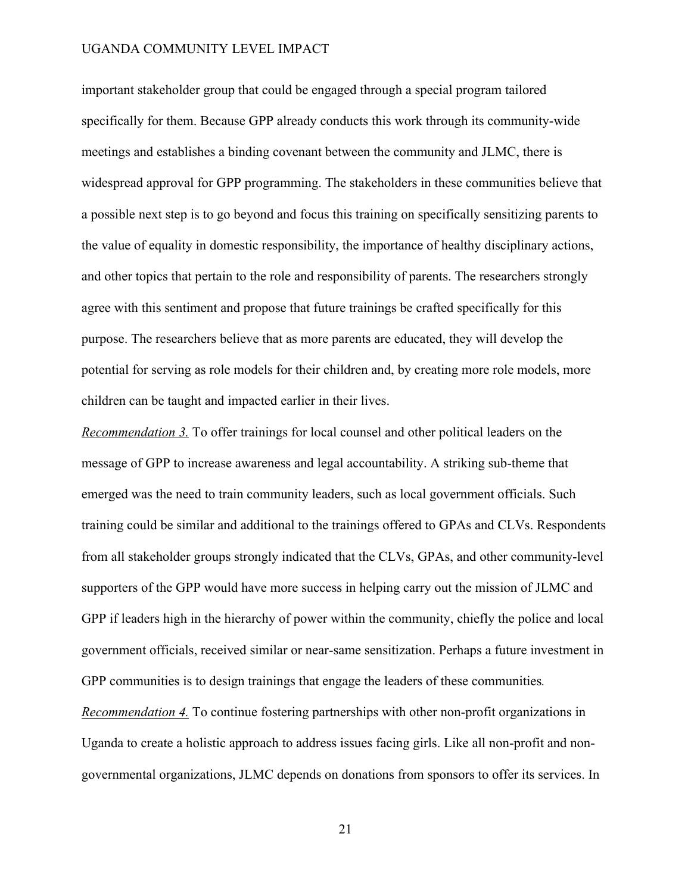important stakeholder group that could be engaged through a special program tailored specifically for them. Because GPP already conducts this work through its community-wide meetings and establishes a binding covenant between the community and JLMC, there is widespread approval for GPP programming. The stakeholders in these communities believe that a possible next step is to go beyond and focus this training on specifically sensitizing parents to the value of equality in domestic responsibility, the importance of healthy disciplinary actions, and other topics that pertain to the role and responsibility of parents. The researchers strongly agree with this sentiment and propose that future trainings be crafted specifically for this purpose. The researchers believe that as more parents are educated, they will develop the potential for serving as role models for their children and, by creating more role models, more children can be taught and impacted earlier in their lives.

*Recommendation 3.* To offer trainings for local counsel and other political leaders on the message of GPP to increase awareness and legal accountability. A striking sub-theme that emerged was the need to train community leaders, such as local government officials. Such training could be similar and additional to the trainings offered to GPAs and CLVs. Respondents from all stakeholder groups strongly indicated that the CLVs, GPAs, and other community-level supporters of the GPP would have more success in helping carry out the mission of JLMC and GPP if leaders high in the hierarchy of power within the community, chiefly the police and local government officials, received similar or near-same sensitization. Perhaps a future investment in GPP communities is to design trainings that engage the leaders of these communities*.* 

*Recommendation 4.* To continue fostering partnerships with other non-profit organizations in Uganda to create a holistic approach to address issues facing girls. Like all non-profit and nongovernmental organizations, JLMC depends on donations from sponsors to offer its services. In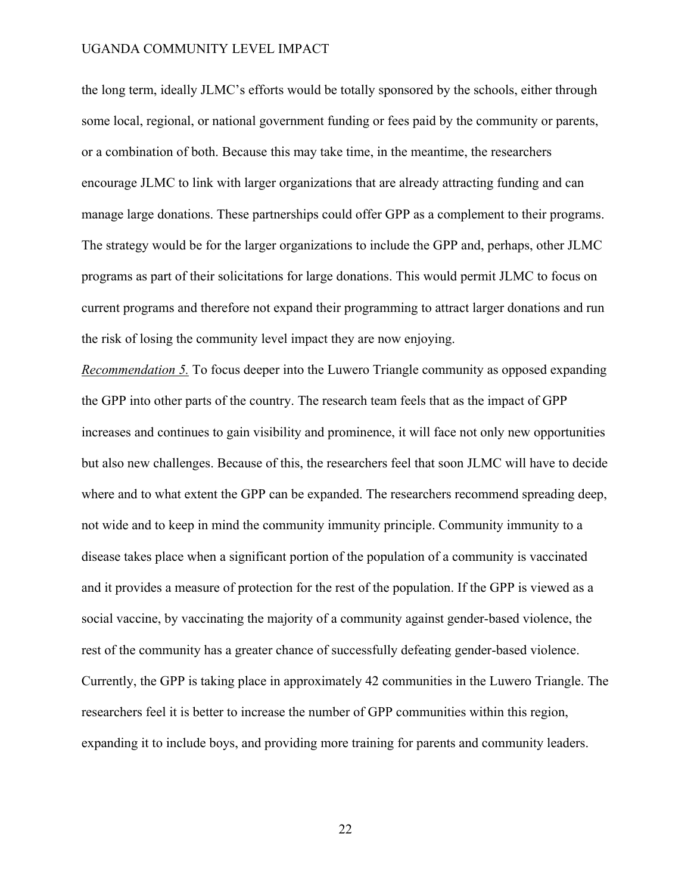the long term, ideally JLMC's efforts would be totally sponsored by the schools, either through some local, regional, or national government funding or fees paid by the community or parents, or a combination of both. Because this may take time, in the meantime, the researchers encourage JLMC to link with larger organizations that are already attracting funding and can manage large donations. These partnerships could offer GPP as a complement to their programs. The strategy would be for the larger organizations to include the GPP and, perhaps, other JLMC programs as part of their solicitations for large donations. This would permit JLMC to focus on current programs and therefore not expand their programming to attract larger donations and run the risk of losing the community level impact they are now enjoying.

*Recommendation 5.* To focus deeper into the Luwero Triangle community as opposed expanding the GPP into other parts of the country. The research team feels that as the impact of GPP increases and continues to gain visibility and prominence, it will face not only new opportunities but also new challenges. Because of this, the researchers feel that soon JLMC will have to decide where and to what extent the GPP can be expanded. The researchers recommend spreading deep, not wide and to keep in mind the community immunity principle. Community immunity to a disease takes place when a significant portion of the population of a community is vaccinated and it provides a measure of protection for the rest of the population. If the GPP is viewed as a social vaccine, by vaccinating the majority of a community against gender-based violence, the rest of the community has a greater chance of successfully defeating gender-based violence. Currently, the GPP is taking place in approximately 42 communities in the Luwero Triangle. The researchers feel it is better to increase the number of GPP communities within this region, expanding it to include boys, and providing more training for parents and community leaders.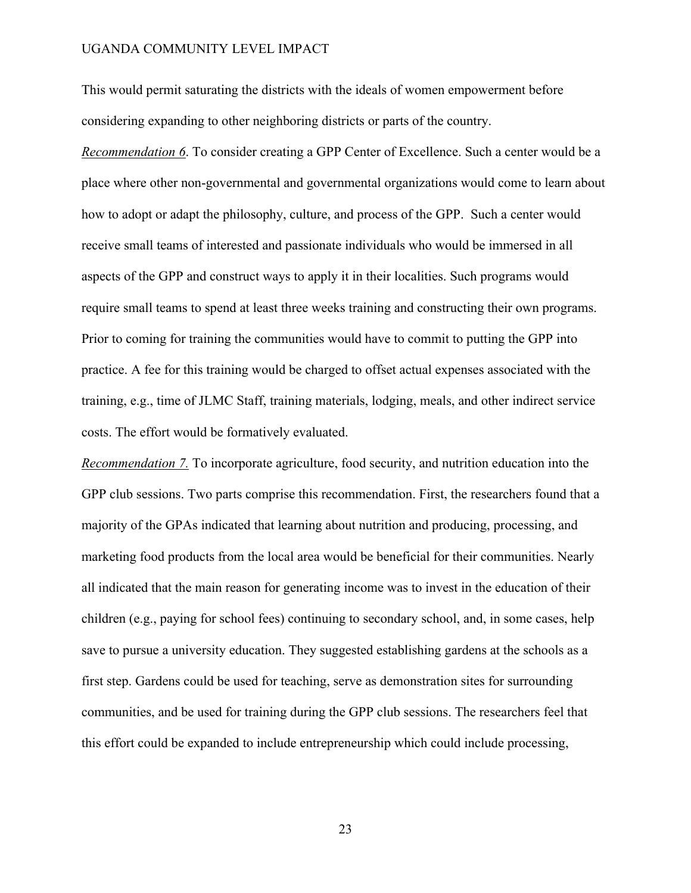This would permit saturating the districts with the ideals of women empowerment before considering expanding to other neighboring districts or parts of the country.

*Recommendation 6*. To consider creating a GPP Center of Excellence. Such a center would be a place where other non-governmental and governmental organizations would come to learn about how to adopt or adapt the philosophy, culture, and process of the GPP. Such a center would receive small teams of interested and passionate individuals who would be immersed in all aspects of the GPP and construct ways to apply it in their localities. Such programs would require small teams to spend at least three weeks training and constructing their own programs. Prior to coming for training the communities would have to commit to putting the GPP into practice. A fee for this training would be charged to offset actual expenses associated with the training, e.g., time of JLMC Staff, training materials, lodging, meals, and other indirect service costs. The effort would be formatively evaluated.

*Recommendation 7.* To incorporate agriculture, food security, and nutrition education into the GPP club sessions. Two parts comprise this recommendation. First, the researchers found that a majority of the GPAs indicated that learning about nutrition and producing, processing, and marketing food products from the local area would be beneficial for their communities. Nearly all indicated that the main reason for generating income was to invest in the education of their children (e.g., paying for school fees) continuing to secondary school, and, in some cases, help save to pursue a university education. They suggested establishing gardens at the schools as a first step. Gardens could be used for teaching, serve as demonstration sites for surrounding communities, and be used for training during the GPP club sessions. The researchers feel that this effort could be expanded to include entrepreneurship which could include processing,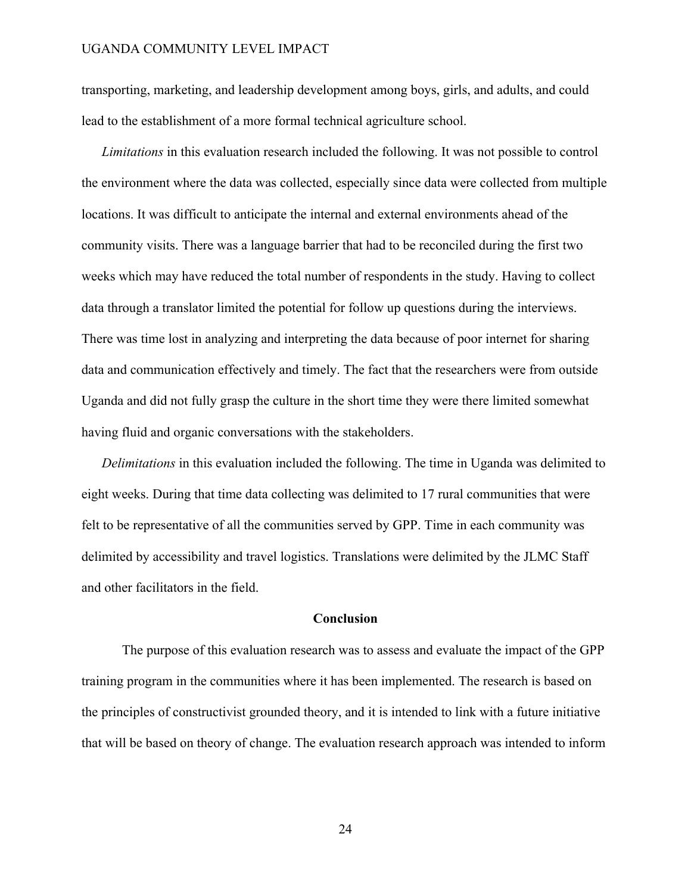transporting, marketing, and leadership development among boys, girls, and adults, and could lead to the establishment of a more formal technical agriculture school.

*Limitations* in this evaluation research included the following. It was not possible to control the environment where the data was collected, especially since data were collected from multiple locations. It was difficult to anticipate the internal and external environments ahead of the community visits. There was a language barrier that had to be reconciled during the first two weeks which may have reduced the total number of respondents in the study. Having to collect data through a translator limited the potential for follow up questions during the interviews. There was time lost in analyzing and interpreting the data because of poor internet for sharing data and communication effectively and timely. The fact that the researchers were from outside Uganda and did not fully grasp the culture in the short time they were there limited somewhat having fluid and organic conversations with the stakeholders.

*Delimitations* in this evaluation included the following. The time in Uganda was delimited to eight weeks. During that time data collecting was delimited to 17 rural communities that were felt to be representative of all the communities served by GPP. Time in each community was delimited by accessibility and travel logistics. Translations were delimited by the JLMC Staff and other facilitators in the field.

# **Conclusion**

The purpose of this evaluation research was to assess and evaluate the impact of the GPP training program in the communities where it has been implemented. The research is based on the principles of constructivist grounded theory, and it is intended to link with a future initiative that will be based on theory of change. The evaluation research approach was intended to inform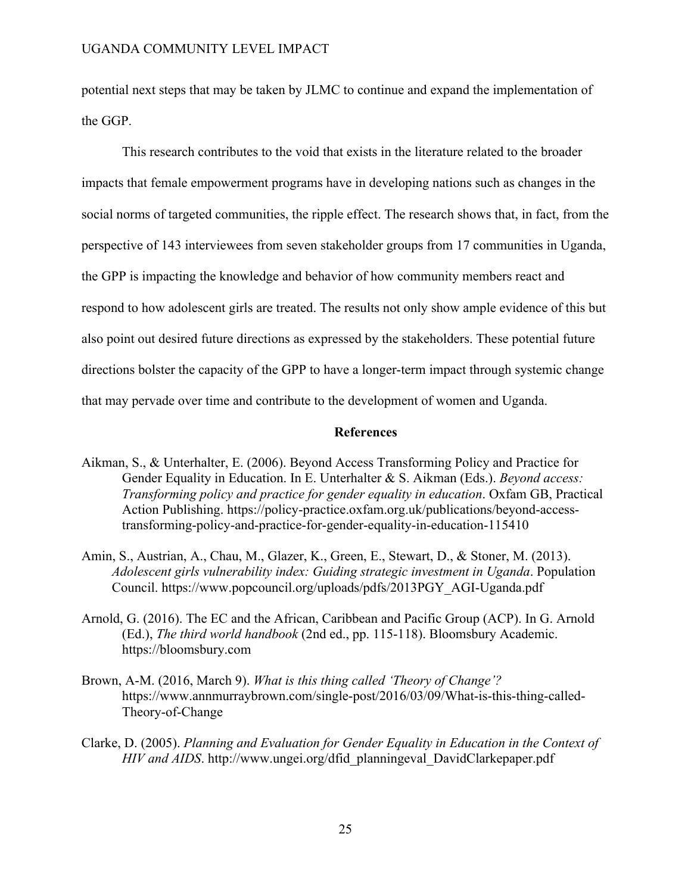potential next steps that may be taken by JLMC to continue and expand the implementation of the GGP.

This research contributes to the void that exists in the literature related to the broader impacts that female empowerment programs have in developing nations such as changes in the social norms of targeted communities, the ripple effect. The research shows that, in fact, from the perspective of 143 interviewees from seven stakeholder groups from 17 communities in Uganda, the GPP is impacting the knowledge and behavior of how community members react and respond to how adolescent girls are treated. The results not only show ample evidence of this but also point out desired future directions as expressed by the stakeholders. These potential future directions bolster the capacity of the GPP to have a longer-term impact through systemic change that may pervade over time and contribute to the development of women and Uganda.

#### **References**

- Aikman, S., & Unterhalter, E. (2006). Beyond Access Transforming Policy and Practice for Gender Equality in Education. In E. Unterhalter & S. Aikman (Eds.). *Beyond access: Transforming policy and practice for gender equality in education*. Oxfam GB, Practical Action Publishing. https://policy-practice.oxfam.org.uk/publications/beyond-accesstransforming-policy-and-practice-for-gender-equality-in-education-115410
- Amin, S., Austrian, A., Chau, M., Glazer, K., Green, E., Stewart, D., & Stoner, M. (2013). *Adolescent girls vulnerability index: Guiding strategic investment in Uganda*. Population Council. https://www.popcouncil.org/uploads/pdfs/2013PGY\_AGI-Uganda.pdf
- Arnold, G. (2016). The EC and the African, Caribbean and Pacific Group (ACP). In G. Arnold (Ed.), *The third world handbook* (2nd ed., pp. 115-118). Bloomsbury Academic. https://bloomsbury.com
- Brown, A-M. (2016, March 9). *What is this thing called 'Theory of Change'?*  https://www.annmurraybrown.com/single-post/2016/03/09/What-is-this-thing-called-Theory-of-Change
- Clarke, D. (2005). *Planning and Evaluation for Gender Equality in Education in the Context of HIV and AIDS*. http://www.ungei.org/dfid\_planningeval\_DavidClarkepaper.pdf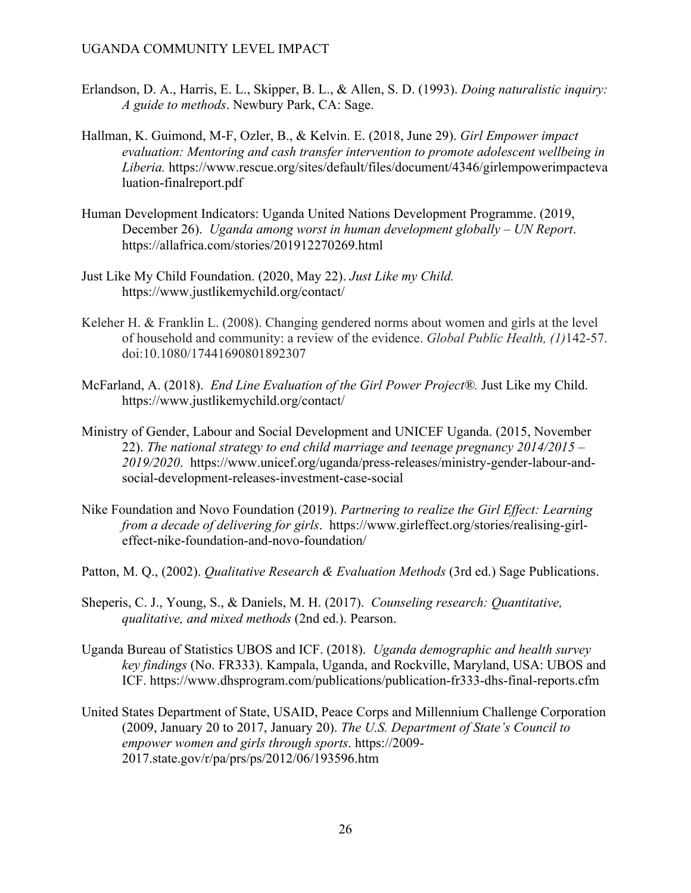- Erlandson, D. A., Harris, E. L., Skipper, B. L., & Allen, S. D. (1993). *Doing naturalistic inquiry: A guide to methods*. Newbury Park, CA: Sage.
- Hallman, K. Guimond, M-F, Ozler, B., & Kelvin. E. (2018, June 29). *Girl Empower impact evaluation: Mentoring and cash transfer intervention to promote adolescent wellbeing in Liberia.* https://www.rescue.org/sites/default/files/document/4346/girlempowerimpacteva luation-finalreport.pdf
- Human Development Indicators: Uganda United Nations Development Programme. (2019, December 26). *Uganda among worst in human development globally – UN Report*. https://allafrica.com/stories/201912270269.html
- Just Like My Child Foundation. (2020, May 22). *Just Like my Child.* https://www.justlikemychild.org/contact/
- Keleher H. & Franklin L. (2008). Changing gendered norms about women and girls at the level of household and community: a review of the evidence. *Global Public Health, (1)*142‐57. doi:10.1080/17441690801892307
- McFarland, A. (2018). *End Line Evaluation of the Girl Power Project®.* Just Like my Child. https://www.justlikemychild.org/contact/
- Ministry of Gender, Labour and Social Development and UNICEF Uganda. (2015, November 22). *The national strategy to end child marriage and teenage pregnancy 2014/2015 – 2019/2020*. https://www.unicef.org/uganda/press-releases/ministry-gender-labour-andsocial-development-releases-investment-case-social
- Nike Foundation and Novo Foundation (2019). *Partnering to realize the Girl Effect: Learning from a decade of delivering for girls*. https://www.girleffect.org/stories/realising-girleffect-nike-foundation-and-novo-foundation/
- Patton, M. Q., (2002). *Qualitative Research & Evaluation Methods* (3rd ed.) Sage Publications.
- Sheperis, C. J., Young, S., & Daniels, M. H. (2017). *Counseling research: Quantitative, qualitative, and mixed methods* (2nd ed.). Pearson.
- Uganda Bureau of Statistics UBOS and ICF. (2018). *Uganda demographic and health survey key findings* (No. FR333). Kampala, Uganda, and Rockville, Maryland, USA: UBOS and ICF. https://www.dhsprogram.com/publications/publication-fr333-dhs-final-reports.cfm
- United States Department of State, USAID, Peace Corps and Millennium Challenge Corporation (2009, January 20 to 2017, January 20). *The U.S. Department of State's Council to empower women and girls through sports*. https://2009- 2017.state.gov/r/pa/prs/ps/2012/06/193596.htm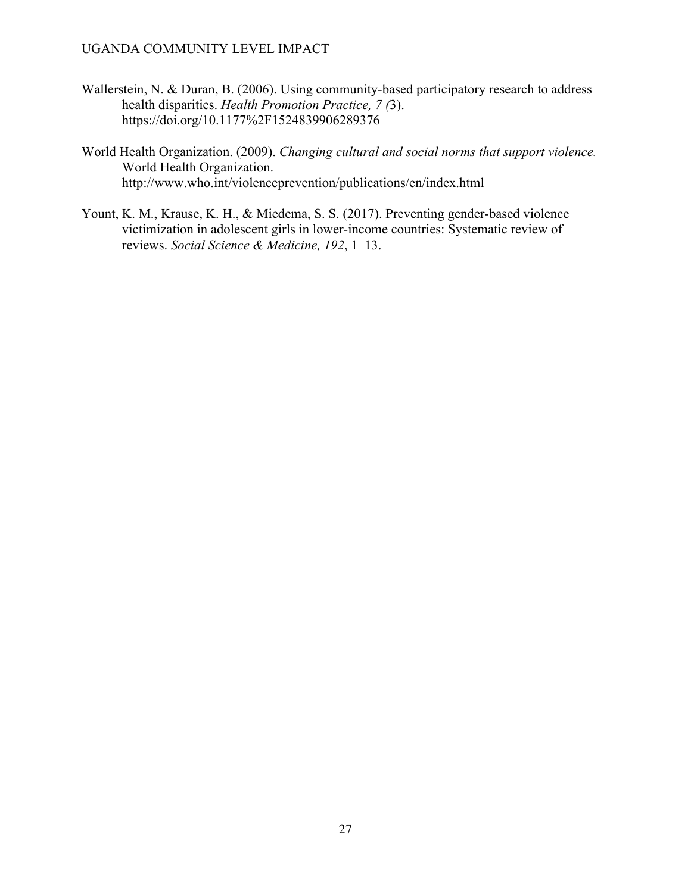- Wallerstein, N. & Duran, B. (2006). Using community-based participatory research to address health disparities. *Health Promotion Practice, 7 (*3). https://doi.org/10.1177%2F1524839906289376
- World Health Organization. (2009). *Changing cultural and social norms that support violence.*  World Health Organization. http://www.who.int/violenceprevention/publications/en/index.html
- Yount, K. M., Krause, K. H., & Miedema, S. S. (2017). Preventing gender-based violence victimization in adolescent girls in lower-income countries: Systematic review of reviews. *Social Science & Medicine, 192*, 1–13.